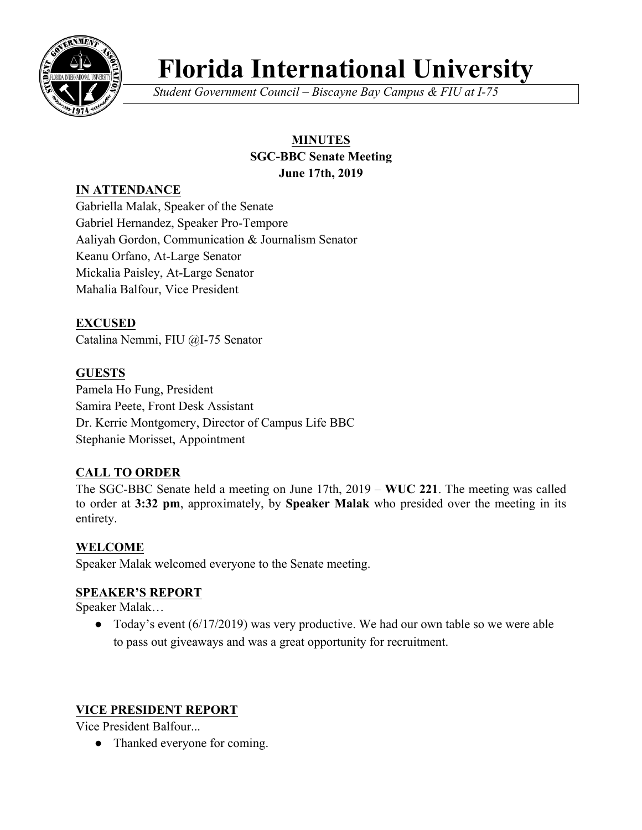

# **Florida International University**

*Student Government Council – Biscayne Bay Campus & FIU at I-75*

# **MINUTES**

#### **SGC-BBC Senate Meeting June 17th, 2019**

# **IN ATTENDANCE**

Gabriella Malak, Speaker of the Senate Gabriel Hernandez, Speaker Pro-Tempore Aaliyah Gordon, Communication & Journalism Senator Keanu Orfano, At-Large Senator Mickalia Paisley, At-Large Senator Mahalia Balfour, Vice President

# **EXCUSED**

Catalina Nemmi, FIU @I-75 Senator

# **GUESTS**

Pamela Ho Fung, President Samira Peete, Front Desk Assistant Dr. Kerrie Montgomery, Director of Campus Life BBC Stephanie Morisset, Appointment

# **CALL TO ORDER**

The SGC-BBC Senate held a meeting on June 17th, 2019 – **WUC 221**. The meeting was called to order at **3:32 pm**, approximately, by **Speaker Malak** who presided over the meeting in its entirety.

## **WELCOME**

Speaker Malak welcomed everyone to the Senate meeting.

# **SPEAKER'S REPORT**

Speaker Malak…

• Today's event (6/17/2019) was very productive. We had our own table so we were able to pass out giveaways and was a great opportunity for recruitment.

## **VICE PRESIDENT REPORT**

Vice President Balfour...

• Thanked everyone for coming.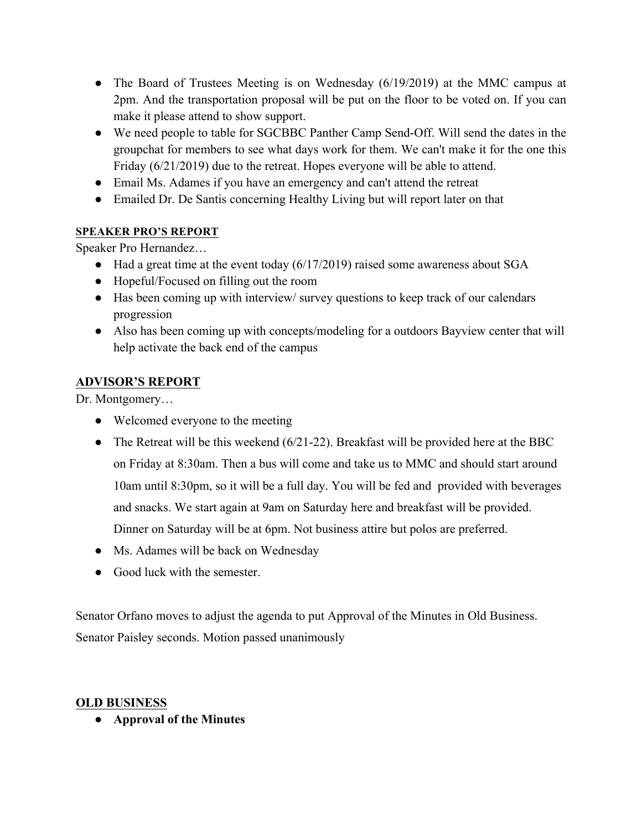- The Board of Trustees Meeting is on Wednesday (6/19/2019) at the MMC campus at 2pm. And the transportation proposal will be put on the floor to be voted on. If you can make it please attend to show support.
- We need people to table for SGCBBC Panther Camp Send-Off. Will send the dates in the groupchat for members to see what days work for them. We can't make it for the one this Friday (6/21/2019) due to the retreat. Hopes everyone will be able to attend.
- Email Ms. Adames if you have an emergency and can't attend the retreat
- Emailed Dr. De Santis concerning Healthy Living but will report later on that

### **SPEAKER PRO'S REPORT**

Speaker Pro Hernandez…

- Had a great time at the event today (6/17/2019) raised some awareness about SGA
- Hopeful/Focused on filling out the room
- Has been coming up with interview/ survey questions to keep track of our calendars progression
- Also has been coming up with concepts/modeling for a outdoors Bayview center that will help activate the back end of the campus

## **ADVISOR'S REPORT**

Dr. Montgomery…

- Welcomed everyone to the meeting
- The Retreat will be this weekend  $(6/21-22)$ . Breakfast will be provided here at the BBC on Friday at 8:30am. Then a bus will come and take us to MMC and should start around 10am until 8:30pm, so it will be a full day. You will be fed and provided with beverages and snacks. We start again at 9am on Saturday here and breakfast will be provided. Dinner on Saturday will be at 6pm. Not business attire but polos are preferred.
- Ms. Adames will be back on Wednesday
- Good luck with the semester.

Senator Orfano moves to adjust the agenda to put Approval of the Minutes in Old Business. Senator Paisley seconds. Motion passed unanimously

#### **OLD BUSINESS**

● **Approval of the Minutes**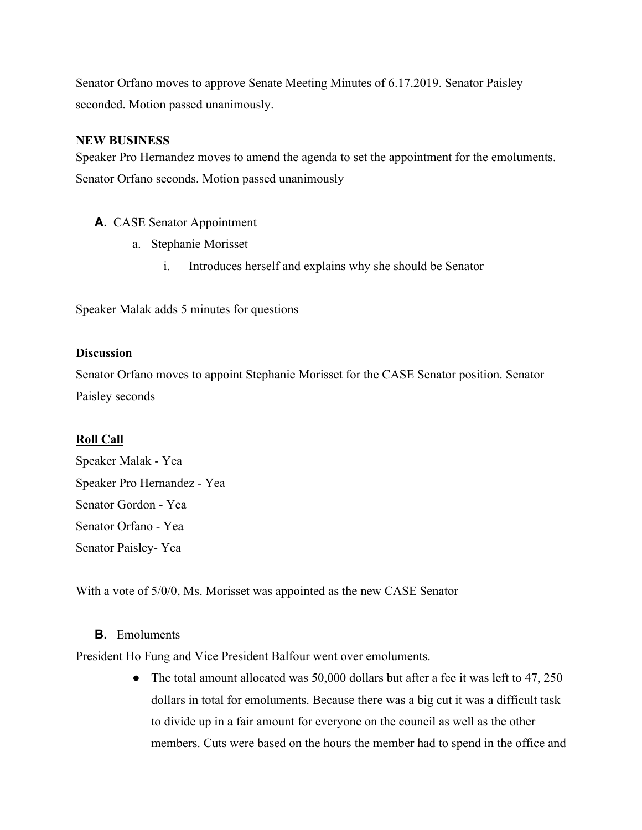Senator Orfano moves to approve Senate Meeting Minutes of 6.17.2019. Senator Paisley seconded. Motion passed unanimously.

#### **NEW BUSINESS**

Speaker Pro Hernandez moves to amend the agenda to set the appointment for the emoluments. Senator Orfano seconds. Motion passed unanimously

#### **A.** CASE Senator Appointment

- a. Stephanie Morisset
	- i. Introduces herself and explains why she should be Senator

Speaker Malak adds 5 minutes for questions

#### **Discussion**

Senator Orfano moves to appoint Stephanie Morisset for the CASE Senator position. Senator Paisley seconds

#### **Roll Call**

Speaker Malak - Yea Speaker Pro Hernandez - Yea Senator Gordon - Yea Senator Orfano - Yea Senator Paisley- Yea

With a vote of 5/0/0, Ms. Morisset was appointed as the new CASE Senator

#### **B.** Emoluments

President Ho Fung and Vice President Balfour went over emoluments.

• The total amount allocated was 50,000 dollars but after a fee it was left to 47, 250 dollars in total for emoluments. Because there was a big cut it was a difficult task to divide up in a fair amount for everyone on the council as well as the other members. Cuts were based on the hours the member had to spend in the office and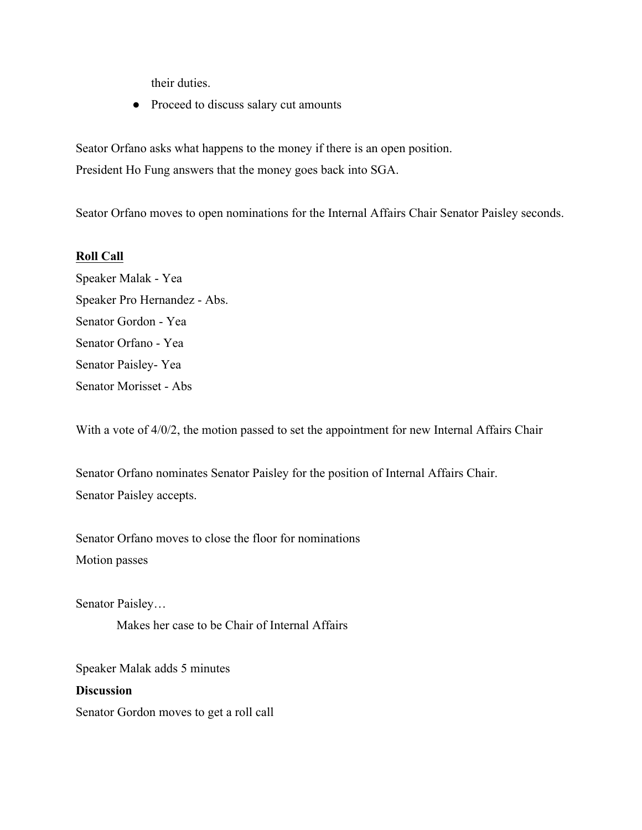their duties.

• Proceed to discuss salary cut amounts

Seator Orfano asks what happens to the money if there is an open position. President Ho Fung answers that the money goes back into SGA.

Seator Orfano moves to open nominations for the Internal Affairs Chair Senator Paisley seconds.

#### **Roll Call**

Speaker Malak - Yea Speaker Pro Hernandez - Abs. Senator Gordon - Yea Senator Orfano - Yea Senator Paisley- Yea Senator Morisset - Abs

With a vote of  $4/0/2$ , the motion passed to set the appointment for new Internal Affairs Chair

Senator Orfano nominates Senator Paisley for the position of Internal Affairs Chair. Senator Paisley accepts.

Senator Orfano moves to close the floor for nominations Motion passes

Senator Paisley…

Makes her case to be Chair of Internal Affairs

Speaker Malak adds 5 minutes

**Discussion** Senator Gordon moves to get a roll call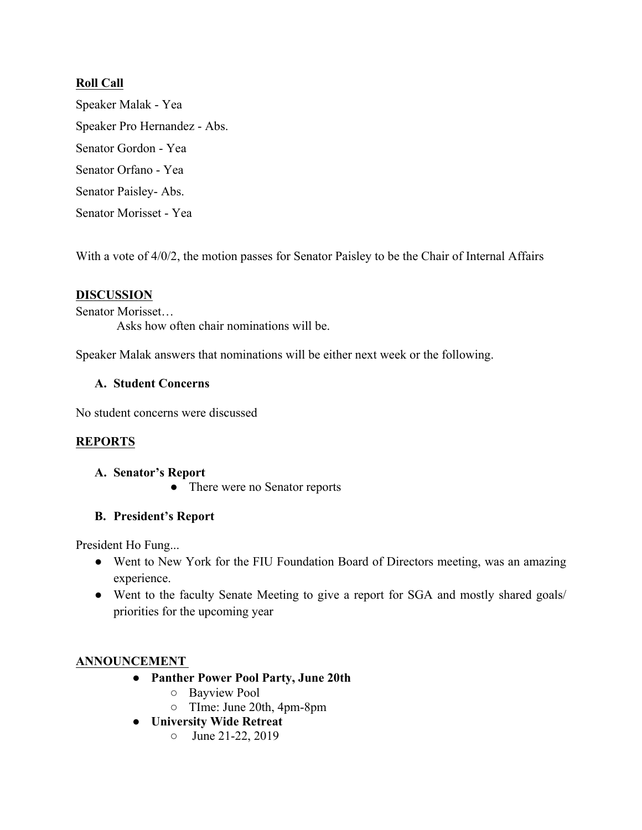#### **Roll Call**

Speaker Malak - Yea Speaker Pro Hernandez - Abs. Senator Gordon - Yea Senator Orfano - Yea Senator Paisley- Abs. Senator Morisset - Yea

With a vote of 4/0/2, the motion passes for Senator Paisley to be the Chair of Internal Affairs

#### **DISCUSSION**

Senator Morisset…

Asks how often chair nominations will be.

Speaker Malak answers that nominations will be either next week or the following.

#### **A. Student Concerns**

No student concerns were discussed

#### **REPORTS**

#### **A. Senator's Report**

• There were no Senator reports

#### **B. President's Report**

President Ho Fung...

- Went to New York for the FIU Foundation Board of Directors meeting, was an amazing experience.
- Went to the faculty Senate Meeting to give a report for SGA and mostly shared goals/ priorities for the upcoming year

#### **ANNOUNCEMENT**

- **Panther Power Pool Party, June 20th**
	- Bayview Pool
	- TIme: June 20th, 4pm-8pm
- **University Wide Retreat**
	- $\circ$  June 21-22, 2019